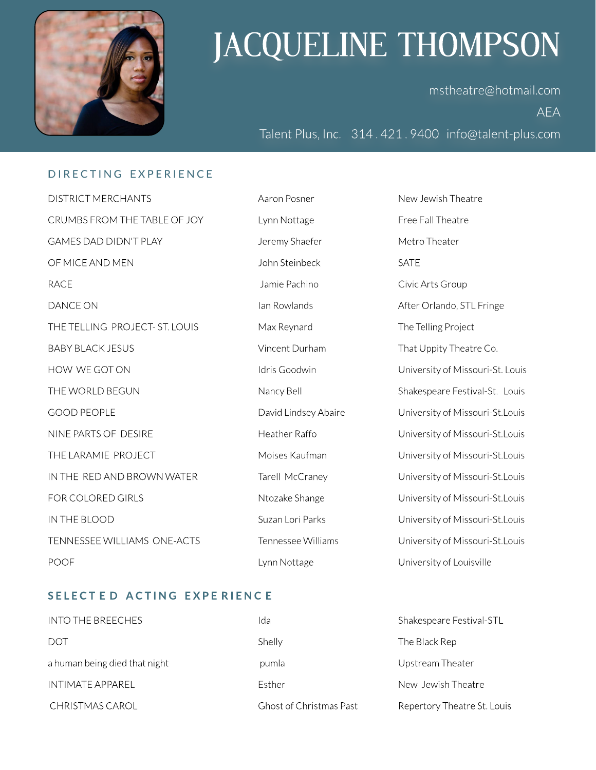

# JACQUELINE THOMPSON

mstheatre@hotmail.com AEA

Talent Plus, Inc. 314.421.9400 info@talent-plus.com

### D I RECTING EXPERIENCE

DISTRICT MERCHANTS Aaron Posner New Jewish Theatre CRUMBSFROM THE TABLE OF JOY Lynn Nottage Free Fall Theatre GAMES DAD DIDN'T PLAY The Metro Theater Shaefer Theater Metro Theater OF MICE AND MEN GATE SATE SATE SATE AND MENUS AND MENUS AND MALL ASSAMENT AND MALL AND SATE RACE 2002 Civic Arts Group DANCE ON **Ian Rowlands Ian Rowlands** After Orlando, STL Fringe THE TELLING PROJECT- ST. LOUIS Max Reynard The Telling Project BABY BLACK JESUS **Example 20 Set All 20 Set All 20 Set All 20 Set All 20 Set All 20 Set All 20 Set All 20 Set A** HOW WE GOT ON THE Soodwin The University of Missouri-St. Louis THE WORLD BEGUN NANCY Bell Shakespeare Festival-St. Louis GOOD PEOPLE **EXECUTE:** David Lindsey Abaire University of Missouri-St.Louis NINE PARTS OF DESIRE **Heather Raffo Heather Raffo** University of Missouri-St.Louis THE LARAMIE PROJECT **Moises Kaufman** Moises Kaufman University of Missouri-St.Louis IN THE RED AND BROWN WATER Tarell McCraney Christensity of Missouri-St.Louis FOR COLORED GIRLS **Number of Alternative Shange** Missouri-St.Louis University of Missouri-St.Louis IN THEBLOOD SuzanLori Parks Universityof Missouri-St.Louis TENNESSEE WILLIAMS ONE-ACTS Tennessee Williams University of Missouri-St.Louis POOF THE Lynn Nottage The University of Louisville

### SELECTED ACTING EXPERIENCE

| INTO THE BREECHES             | Ida                            | Shakespeare Festival-STL    |
|-------------------------------|--------------------------------|-----------------------------|
| DOT                           | Shelly                         | The Black Rep               |
| a human being died that night | pumla                          | Upstream Theater            |
| INTIMATE APPAREL              | <b>Fsther</b>                  | New Jewish Theatre          |
| CHRISTMAS CAROL               | <b>Ghost of Christmas Past</b> | Repertory Theatre St. Louis |